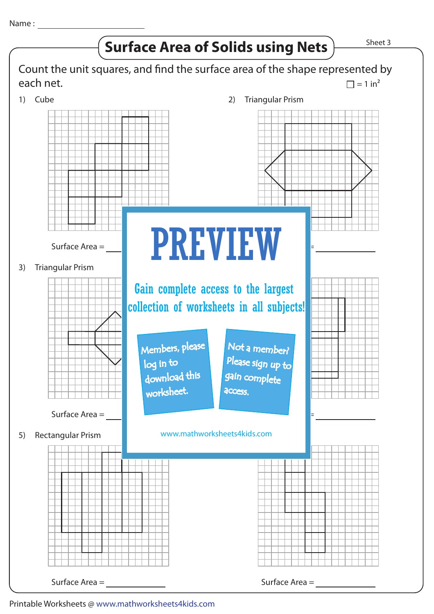